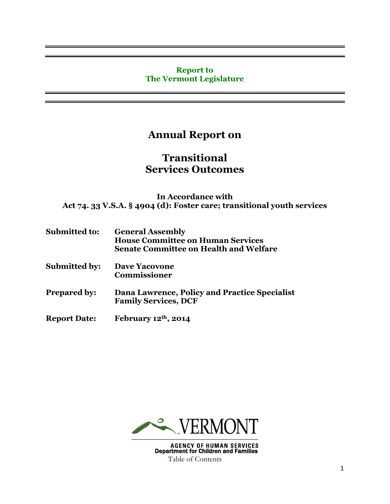#### **Report to The Vermont Legislature**

# **Annual Report on**

# **Transitional Services Outcomes**

**In Accordance with Act 74. 33 V.S.A. § 4904 (d): Foster care; transitional youth services**

| <b>Submitted to:</b> | <b>General Assembly</b>                       |
|----------------------|-----------------------------------------------|
|                      | <b>House Committee on Human Services</b>      |
|                      | <b>Senate Committee on Health and Welfare</b> |

- **Submitted by: Dave Yacovone Commissioner**
- **Prepared by: Dana Lawrence, Policy and Practice Specialist Family Services, DCF**
- **Report Date: February 12th, 2014**

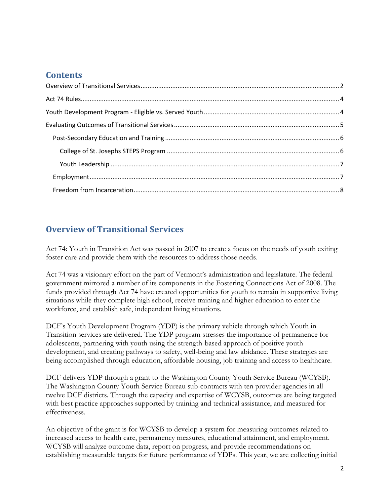## **Contents**

# <span id="page-1-0"></span>**Overview of Transitional Services**

Act 74: Youth in Transition Act was passed in 2007 to create a focus on the needs of youth exiting foster care and provide them with the resources to address those needs.

Act 74 was a visionary effort on the part of Vermont's administration and legislature. The federal government mirrored a number of its components in the Fostering Connections Act of 2008. The funds provided through Act 74 have created opportunities for youth to remain in supportive living situations while they complete high school, receive training and higher education to enter the workforce, and establish safe, independent living situations.

DCF's Youth Development Program (YDP) is the primary vehicle through which Youth in Transition services are delivered. The YDP program stresses the importance of permanence for adolescents, partnering with youth using the strength-based approach of positive youth development, and creating pathways to safety, well-being and law abidance. These strategies are being accomplished through education, affordable housing, job training and access to healthcare.

DCF delivers YDP through a grant to the Washington County Youth Service Bureau (WCYSB). The Washington County Youth Service Bureau sub-contracts with ten provider agencies in all twelve DCF districts. Through the capacity and expertise of WCYSB, outcomes are being targeted with best practice approaches supported by training and technical assistance, and measured for effectiveness.

An objective of the grant is for WCYSB to develop a system for measuring outcomes related to increased access to health care, permanency measures, educational attainment, and employment. WCYSB will analyze outcome data, report on progress, and provide recommendations on establishing measurable targets for future performance of YDPs. This year, we are collecting initial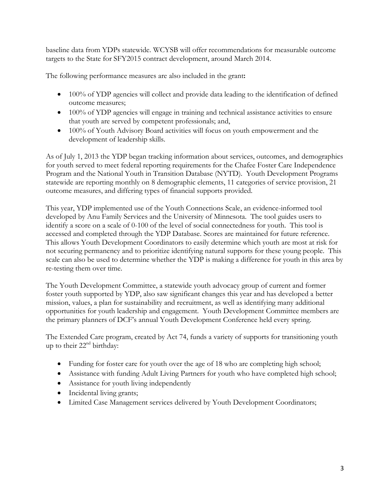baseline data from YDPs statewide. WCYSB will offer recommendations for measurable outcome targets to the State for SFY2015 contract development, around March 2014.

The following performance measures are also included in the grant**:**

- 100% of YDP agencies will collect and provide data leading to the identification of defined outcome measures;
- 100% of YDP agencies will engage in training and technical assistance activities to ensure that youth are served by competent professionals; and,
- 100% of Youth Advisory Board activities will focus on youth empowerment and the development of leadership skills.

As of July 1, 2013 the YDP began tracking information about services, outcomes, and demographics for youth served to meet federal reporting requirements for the Chafee Foster Care Independence Program and the National Youth in Transition Database (NYTD). Youth Development Programs statewide are reporting monthly on 8 demographic elements, 11 categories of service provision, 21 outcome measures, and differing types of financial supports provided.

This year, YDP implemented use of the Youth Connections Scale, an evidence-informed tool developed by Anu Family Services and the University of Minnesota. The tool guides users to identify a score on a scale of 0-100 of the level of social connectedness for youth. This tool is accessed and completed through the YDP Database. Scores are maintained for future reference. This allows Youth Development Coordinators to easily determine which youth are most at risk for not securing permanency and to prioritize identifying natural supports for these young people. This scale can also be used to determine whether the YDP is making a difference for youth in this area by re-testing them over time.

The Youth Development Committee, a statewide youth advocacy group of current and former foster youth supported by YDP, also saw significant changes this year and has developed a better mission, values, a plan for sustainability and recruitment, as well as identifying many additional opportunities for youth leadership and engagement. Youth Development Committee members are the primary planners of DCF's annual Youth Development Conference held every spring.

The Extended Care program, created by Act 74, funds a variety of supports for transitioning youth up to their  $22<sup>nd</sup>$  birthday:

- Funding for foster care for youth over the age of 18 who are completing high school;
- Assistance with funding Adult Living Partners for youth who have completed high school;
- Assistance for youth living independently
- Incidental living grants;
- Limited Case Management services delivered by Youth Development Coordinators;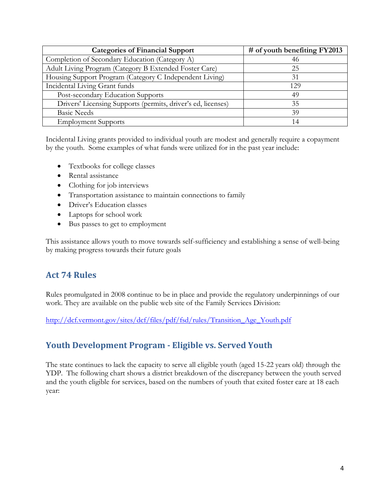| <b>Categories of Financial Support</b>                       | $\#$ of youth benefiting FY2013 |
|--------------------------------------------------------------|---------------------------------|
| Completion of Secondary Education (Category A)               | 46                              |
| Adult Living Program (Category B Extended Foster Care)       | 25                              |
| Housing Support Program (Category C Independent Living)      | 31                              |
| Incidental Living Grant funds                                | 129                             |
| Post-secondary Education Supports                            | 49                              |
| Drivers' Licensing Supports (permits, driver's ed, licenses) | 35                              |
| <b>Basic Needs</b>                                           | 39                              |
| <b>Employment Supports</b>                                   | 14                              |

Incidental Living grants provided to individual youth are modest and generally require a copayment by the youth. Some examples of what funds were utilized for in the past year include:

- Textbooks for college classes
- Rental assistance
- Clothing for job interviews
- Transportation assistance to maintain connections to family
- Driver's Education classes
- Laptops for school work
- Bus passes to get to employment

This assistance allows youth to move towards self-sufficiency and establishing a sense of well-being by making progress towards their future goals

## <span id="page-3-0"></span>**Act 74 Rules**

Rules promulgated in 2008 continue to be in place and provide the regulatory underpinnings of our work. They are available on the public web site of the Family Services Division:

<span id="page-3-1"></span>[http://dcf.vermont.gov/sites/dcf/files/pdf/fsd/rules/Transition\\_Age\\_Youth.pdf](http://dcf.vermont.gov/sites/dcf/files/pdf/fsd/rules/Transition_Age_Youth.pdf)

# **Youth Development Program - Eligible vs. Served Youth**

The state continues to lack the capacity to serve all eligible youth (aged 15-22 years old) through the YDP. The following chart shows a district breakdown of the discrepancy between the youth served and the youth eligible for services, based on the numbers of youth that exited foster care at 18 each year: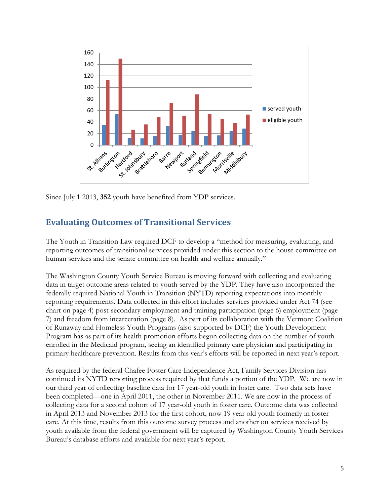

<span id="page-4-0"></span>Since July 1 2013, **352** youth have benefited from YDP services.

# **Evaluating Outcomes of Transitional Services**

The Youth in Transition Law required DCF to develop a "method for measuring, evaluating, and reporting outcomes of transitional services provided under this section to the house committee on human services and the senate committee on health and welfare annually."

The Washington County Youth Service Bureau is moving forward with collecting and evaluating data in target outcome areas related to youth served by the YDP. They have also incorporated the federally required National Youth in Transition (NYTD) reporting expectations into monthly reporting requirements. Data collected in this effort includes services provided under Act 74 (see chart on page 4) post-secondary employment and training participation (page 6) employment (page 7) and freedom from incarceration (page 8). As part of its collaboration with the Vermont Coalition of Runaway and Homeless Youth Programs (also supported by DCF) the Youth Development Program has as part of its health promotion efforts begun collecting data on the number of youth enrolled in the Medicaid program, seeing an identified primary care physician and participating in primary healthcare prevention. Results from this year's efforts will be reported in next year's report.

As required by the federal Chafee Foster Care Independence Act, Family Services Division has continued its NYTD reporting process required by that funds a portion of the YDP. We are now in our third year of collecting baseline data for 17 year-old youth in foster care. Two data sets have been completed—one in April 2011, the other in November 2011. We are now in the process of collecting data for a second cohort of 17 year-old youth in foster care. Outcome data was collected in April 2013 and November 2013 for the first cohort, now 19 year old youth formerly in foster care. At this time, results from this outcome survey process and another on services received by youth available from the federal government will be captured by Washington County Youth Services Bureau's database efforts and available for next year's report.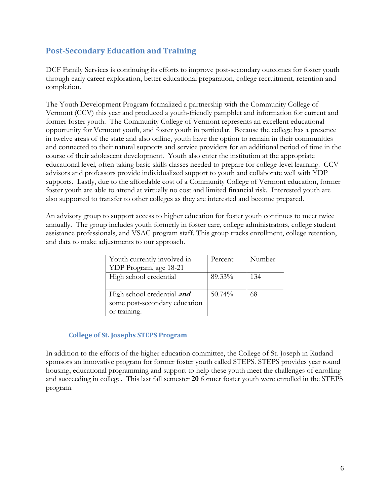## <span id="page-5-0"></span>**Post-Secondary Education and Training**

DCF Family Services is continuing its efforts to improve post-secondary outcomes for foster youth through early career exploration, better educational preparation, college recruitment, retention and completion.

The Youth Development Program formalized a partnership with the Community College of Vermont (CCV) this year and produced a youth-friendly pamphlet and information for current and former foster youth. The Community College of Vermont represents an excellent educational opportunity for Vermont youth, and foster youth in particular. Because the college has a presence in twelve areas of the state and also online, youth have the option to remain in their communities and connected to their natural supports and service providers for an additional period of time in the course of their adolescent development. Youth also enter the institution at the appropriate educational level, often taking basic skills classes needed to prepare for college-level learning. CCV advisors and professors provide individualized support to youth and collaborate well with YDP supports. Lastly, due to the affordable cost of a Community College of Vermont education, former foster youth are able to attend at virtually no cost and limited financial risk. Interested youth are also supported to transfer to other colleges as they are interested and become prepared.

An advisory group to support access to higher education for foster youth continues to meet twice annually. The group includes youth formerly in foster care, college administrators, college student assistance professionals, and VSAC program staff. This group tracks enrollment, college retention, and data to make adjustments to our approach.

| Youth currently involved in       | Percent | Number |
|-----------------------------------|---------|--------|
| YDP Program, age 18-21            |         |        |
| High school credential            | 89.33%  | 134    |
|                                   |         |        |
| High school credential <i>and</i> | 50.74%  | 68     |
| some post-secondary education     |         |        |
| or training.                      |         |        |

#### **College of St. Josephs STEPS Program**

<span id="page-5-2"></span><span id="page-5-1"></span>In addition to the efforts of the higher education committee, the College of St. Joseph in Rutland sponsors an innovative program for former foster youth called STEPS. STEPS provides year round housing, educational programming and support to help these youth meet the challenges of enrolling and succeeding in college. This last fall semester **20** former foster youth were enrolled in the STEPS program.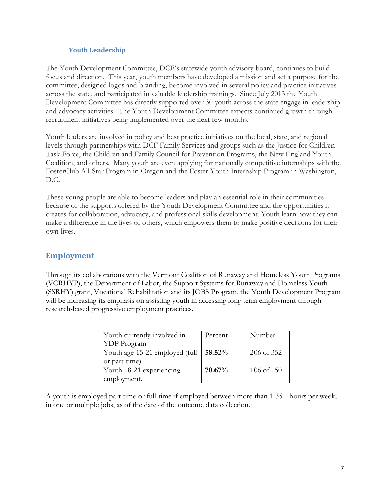#### **Youth Leadership**

The Youth Development Committee, DCF's statewide youth advisory board, continues to build focus and direction. This year, youth members have developed a mission and set a purpose for the committee, designed logos and branding, become involved in several policy and practice initiatives across the state, and participated in valuable leadership trainings. Since July 2013 the Youth Development Committee has directly supported over 30 youth across the state engage in leadership and advocacy activities. The Youth Development Committee expects continued growth through recruitment initiatives being implemented over the next few months.

Youth leaders are involved in policy and best practice initiatives on the local, state, and regional levels through partnerships with DCF Family Services and groups such as the Justice for Children Task Force, the Children and Family Council for Prevention Programs, the New England Youth Coalition, and others. Many youth are even applying for nationally competitive internships with the FosterClub All-Star Program in Oregon and the Foster Youth Internship Program in Washington, D.C.

These young people are able to become leaders and play an essential role in their communities because of the supports offered by the Youth Development Committee and the opportunities it creates for collaboration, advocacy, and professional skills development. Youth learn how they can make a difference in the lives of others, which empowers them to make positive decisions for their own lives.

### <span id="page-6-0"></span>**Employment**

Through its collaborations with the Vermont Coalition of Runaway and Homeless Youth Programs (VCRHYP), the Department of Labor, the Support Systems for Runaway and Homeless Youth (SSRHY) grant, Vocational Rehabilitation and its JOBS Program, the Youth Development Program will be increasing its emphasis on assisting youth in accessing long term employment through research-based progressive employment practices.

| Youth currently involved in    | Percent | Number     |
|--------------------------------|---------|------------|
| <b>YDP</b> Program             |         |            |
| Youth age 15-21 employed (full | 58.52%  | 206 of 352 |
| or part-time).                 |         |            |
| Youth 18-21 experiencing       | 70.67%  | 106 of 150 |
| employment.                    |         |            |

<span id="page-6-1"></span>A youth is employed part-time or full-time if employed between more than 1-35+ hours per week, in one or multiple jobs, as of the date of the outcome data collection.